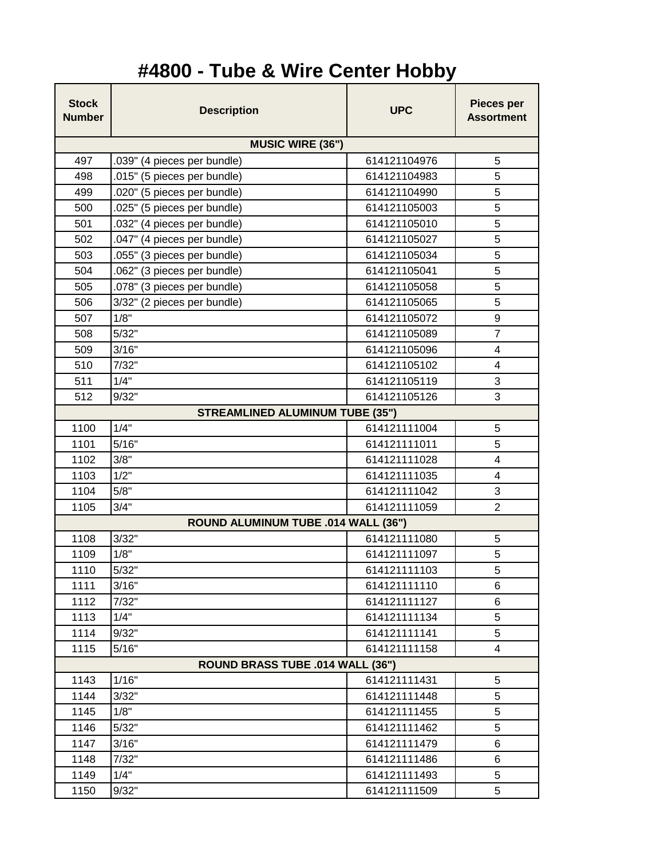## **#4800 - Tube & Wire Center Hobby**

| <b>Stock</b><br><b>Number</b>          | <b>Description</b>          | <b>UPC</b>   | Pieces per<br><b>Assortment</b> |  |
|----------------------------------------|-----------------------------|--------------|---------------------------------|--|
| <b>MUSIC WIRE (36")</b>                |                             |              |                                 |  |
| 497                                    | .039" (4 pieces per bundle) | 614121104976 | 5                               |  |
| 498                                    | .015" (5 pieces per bundle) | 614121104983 | 5                               |  |
| 499                                    | .020" (5 pieces per bundle) | 614121104990 | 5                               |  |
| 500                                    | .025" (5 pieces per bundle) | 614121105003 | 5                               |  |
| 501                                    | .032" (4 pieces per bundle) | 614121105010 | 5                               |  |
| 502                                    | .047" (4 pieces per bundle) | 614121105027 | 5                               |  |
| 503                                    | .055" (3 pieces per bundle) | 614121105034 | 5                               |  |
| 504                                    | .062" (3 pieces per bundle) | 614121105041 | 5                               |  |
| 505                                    | .078" (3 pieces per bundle) | 614121105058 | 5                               |  |
| 506                                    | 3/32" (2 pieces per bundle) | 614121105065 | 5                               |  |
| 507                                    | 1/8"                        | 614121105072 | 9                               |  |
| 508                                    | 5/32"                       | 614121105089 | $\overline{7}$                  |  |
| 509                                    | 3/16"                       | 614121105096 | 4                               |  |
| 510                                    | 7/32"                       | 614121105102 | 4                               |  |
| 511                                    | 1/4"                        | 614121105119 | 3                               |  |
| 512                                    | 9/32"                       | 614121105126 | 3                               |  |
| <b>STREAMLINED ALUMINUM TUBE (35")</b> |                             |              |                                 |  |
| 1100                                   | 1/4"                        | 614121111004 | 5                               |  |
| 1101                                   | 5/16"                       | 614121111011 | 5                               |  |
| 1102                                   | 3/8"                        | 614121111028 | 4                               |  |
| 1103                                   | 1/2"                        | 614121111035 | 4                               |  |
| 1104                                   | 5/8"                        | 614121111042 | $\mathbf{3}$                    |  |
| 1105                                   | 3/4"                        | 614121111059 | $\overline{2}$                  |  |
| ROUND ALUMINUM TUBE .014 WALL (36")    |                             |              |                                 |  |
| 1108                                   | 3/32"                       | 614121111080 | 5                               |  |
| 1109                                   | 1/8"                        | 614121111097 | 5                               |  |
| 1110                                   | 5/32"                       | 614121111103 | 5                               |  |
| 1111                                   | 3/16"                       | 614121111110 | 6                               |  |
| 1112                                   | 7/32"                       | 614121111127 | 6                               |  |
| 1113                                   | 1/4"                        | 614121111134 | 5                               |  |
| 1114                                   | 9/32"                       | 614121111141 | 5                               |  |
| 1115                                   | 5/16"                       | 614121111158 | 4                               |  |
| ROUND BRASS TUBE .014 WALL (36")       |                             |              |                                 |  |
| 1143                                   | 1/16"                       | 614121111431 | 5                               |  |
| 1144                                   | 3/32"                       | 614121111448 | 5                               |  |
| 1145                                   | 1/8"                        | 614121111455 | 5                               |  |
| 1146                                   | 5/32"                       | 614121111462 | 5                               |  |
| 1147                                   | 3/16"                       | 614121111479 | 6                               |  |
| 1148                                   | 7/32"                       | 614121111486 | 6                               |  |
| 1149                                   | 1/4"                        | 614121111493 | 5                               |  |
| 1150                                   | 9/32"                       | 614121111509 | 5                               |  |